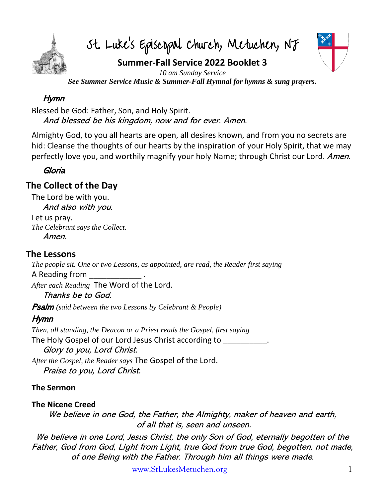

St. Luke's Episcopal Church, Metuchen, NJ

**Summer-Fall Service 2022 Booklet 3**

*10 am Sunday Service See Summer Service Music & Summer-Fall Hymnal for hymns & sung prayers.*

### Hymn

Blessed be God: Father, Son, and Holy Spirit. And blessed be his kingdom, now and for ever. Amen.

Almighty God, to you all hearts are open, all desires known, and from you no secrets are hid: Cleanse the thoughts of our hearts by the inspiration of your Holy Spirit, that we may perfectly love you, and worthily magnify your holy Name; through Christ our Lord. Amen.

Gloria

### **The Collect of the Day**

The Lord be with you. And also with you. Let us pray. *The Celebrant says the Collect.*

Amen.

### **The Lessons**

*The people sit. One or two Lessons, as appointed, are read, the Reader first saying* A Reading from *After each Reading* The Word of the Lord.

Thanks be to God.

Psalm *(said between the two Lessons by Celebrant & People)*

# Hymn

*Then, all standing, the Deacon or a Priest reads the Gospel, first saying* The Holy Gospel of our Lord Jesus Christ according to Glory to you, Lord Christ. *After the Gospel, the Reader says* The Gospel of the Lord. Praise to you, Lord Christ.

#### **The Sermon**

**The Nicene Creed**

We believe in one God, the Father, the Almighty, maker of heaven and earth, of all that is, seen and unseen.

We believe in one Lord, Jesus Christ, the only Son of God, eternally begotten of the Father, God from God, Light from Light, true God from true God, begotten, not made, of one Being with the Father. Through him all things were made.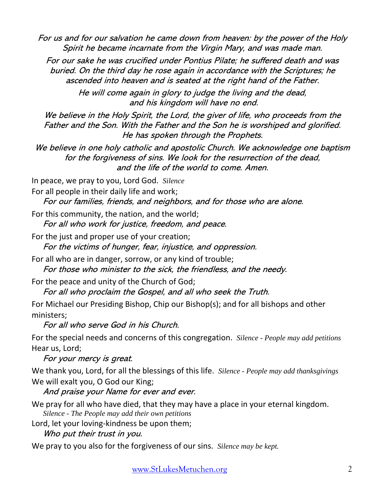For us and for our salvation he came down from heaven: by the power of the Holy Spirit he became incarnate from the Virgin Mary, and was made man.

For our sake he was crucified under Pontius Pilate; he suffered death and was buried. On the third day he rose again in accordance with the Scriptures; he ascended into heaven and is seated at the right hand of the Father.

> He will come again in glory to judge the living and the dead, and his kingdom will have no end.

We believe in the Holy Spirit, the Lord, the giver of life, who proceeds from the Father and the Son. With the Father and the Son he is worshiped and glorified. He has spoken through the Prophets.

We believe in one holy catholic and apostolic Church. We acknowledge one baptism for the forgiveness of sins. We look for the resurrection of the dead, and the life of the world to come. Amen.

In peace, we pray to you, Lord God. *Silence*

For all people in their daily life and work;

For our families, friends, and neighbors, and for those who are alone.

For this community, the nation, and the world; For all who work for justice, freedom, and peace.

For the just and proper use of your creation; For the victims of hunger, fear, injustice, and oppression.

For all who are in danger, sorrow, or any kind of trouble; For those who minister to the sick, the friendless, and the needy.

For the peace and unity of the Church of God;

For all who proclaim the Gospel, and all who seek the Truth.

For Michael our Presiding Bishop, Chip our Bishop(s); and for all bishops and other ministers;

For all who serve God in his Church.

For the special needs and concerns of this congregation. *Silence - People may add petitions* Hear us, Lord;

For your mercy is great.

We thank you, Lord, for all the blessings of this life. *Silence - People may add thanksgivings* We will exalt you, O God our King;

And praise your Name for ever and ever.

We pray for all who have died, that they may have a place in your eternal kingdom. *Silence - The People may add their own petitions*

Lord, let your loving-kindness be upon them;

Who put their trust in you.

We pray to you also for the forgiveness of our sins. *Silence may be kept.*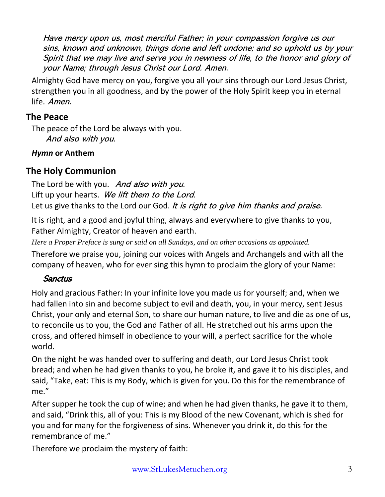Have mercy upon us, most merciful Father; in your compassion forgive us our sins, known and unknown, things done and left undone; and so uphold us by your Spirit that we may live and serve you in newness of life, to the honor and glory of your Name; through Jesus Christ our Lord. Amen.

Almighty God have mercy on you, forgive you all your sins through our Lord Jesus Christ, strengthen you in all goodness, and by the power of the Holy Spirit keep you in eternal life. Amen.

### **The Peace**

The peace of the Lord be always with you. And also with you.

#### *Hymn* **or Anthem**

# **The Holy Communion**

The Lord be with you. And also with you. Lift up your hearts. We lift them to the Lord. Let us give thanks to the Lord our God. It is right to give him thanks and praise.

It is right, and a good and joyful thing, always and everywhere to give thanks to you, Father Almighty, Creator of heaven and earth.

*Here a Proper Preface is sung or said on all Sundays, and on other occasions as appointed.*

Therefore we praise you, joining our voices with Angels and Archangels and with all the company of heaven, who for ever sing this hymn to proclaim the glory of your Name:

# **Sanctus**

Holy and gracious Father: In your infinite love you made us for yourself; and, when we had fallen into sin and become subject to evil and death, you, in your mercy, sent Jesus Christ, your only and eternal Son, to share our human nature, to live and die as one of us, to reconcile us to you, the God and Father of all. He stretched out his arms upon the cross, and offered himself in obedience to your will, a perfect sacrifice for the whole world.

On the night he was handed over to suffering and death, our Lord Jesus Christ took bread; and when he had given thanks to you, he broke it, and gave it to his disciples, and said, "Take, eat: This is my Body, which is given for you. Do this for the remembrance of me."

After supper he took the cup of wine; and when he had given thanks, he gave it to them, and said, "Drink this, all of you: This is my Blood of the new Covenant, which is shed for you and for many for the forgiveness of sins. Whenever you drink it, do this for the remembrance of me."

Therefore we proclaim the mystery of faith: